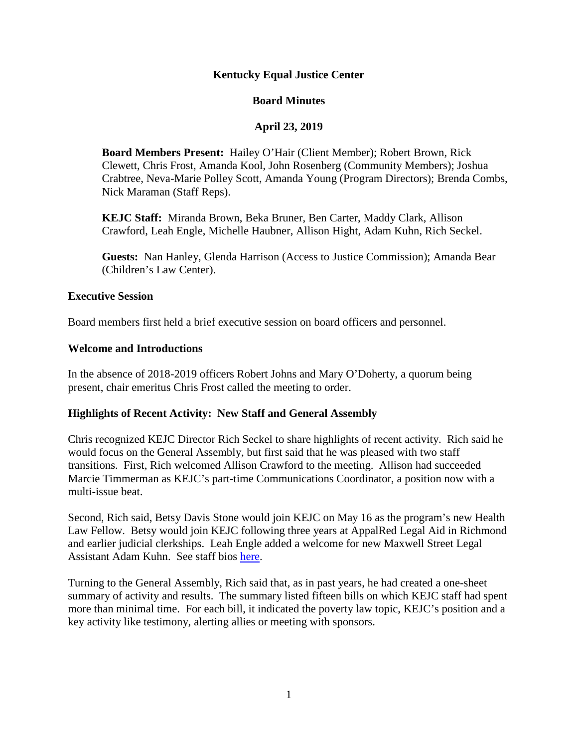### **Kentucky Equal Justice Center**

### **Board Minutes**

## **April 23, 2019**

**Board Members Present:** Hailey O'Hair (Client Member); Robert Brown, Rick Clewett, Chris Frost, Amanda Kool, John Rosenberg (Community Members); Joshua Crabtree, Neva-Marie Polley Scott, Amanda Young (Program Directors); Brenda Combs, Nick Maraman (Staff Reps).

**KEJC Staff:** Miranda Brown, Beka Bruner, Ben Carter, Maddy Clark, Allison Crawford, Leah Engle, Michelle Haubner, Allison Hight, Adam Kuhn, Rich Seckel.

**Guests:** Nan Hanley, Glenda Harrison (Access to Justice Commission); Amanda Bear (Children's Law Center).

#### **Executive Session**

Board members first held a brief executive session on board officers and personnel.

#### **Welcome and Introductions**

In the absence of 2018-2019 officers Robert Johns and Mary O'Doherty, a quorum being present, chair emeritus Chris Frost called the meeting to order.

#### **Highlights of Recent Activity: New Staff and General Assembly**

Chris recognized KEJC Director Rich Seckel to share highlights of recent activity. Rich said he would focus on the General Assembly, but first said that he was pleased with two staff transitions. First, Rich welcomed Allison Crawford to the meeting. Allison had succeeded Marcie Timmerman as KEJC's part-time Communications Coordinator, a position now with a multi-issue beat.

Second, Rich said, Betsy Davis Stone would join KEJC on May 16 as the program's new Health Law Fellow. Betsy would join KEJC following three years at AppalRed Legal Aid in Richmond and earlier judicial clerkships. Leah Engle added a welcome for new Maxwell Street Legal Assistant Adam Kuhn. See staff bios [here.](https://www.kyequaljustice.org/our-staff)

Turning to the General Assembly, Rich said that, as in past years, he had created a one-sheet summary of activity and results. The summary listed fifteen bills on which KEJC staff had spent more than minimal time. For each bill, it indicated the poverty law topic, KEJC's position and a key activity like testimony, alerting allies or meeting with sponsors.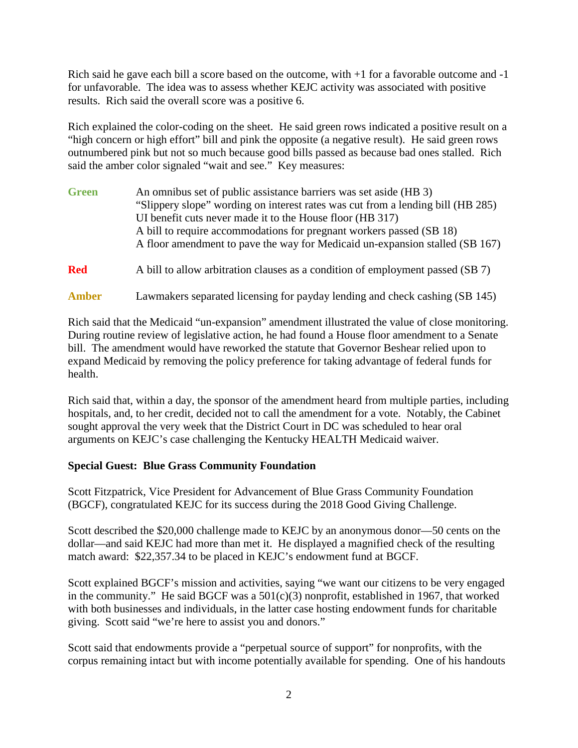Rich said he gave each bill a score based on the outcome, with  $+1$  for a favorable outcome and  $-1$ for unfavorable. The idea was to assess whether KEJC activity was associated with positive results. Rich said the overall score was a positive 6.

Rich explained the color-coding on the sheet. He said green rows indicated a positive result on a "high concern or high effort" bill and pink the opposite (a negative result). He said green rows outnumbered pink but not so much because good bills passed as because bad ones stalled. Rich said the amber color signaled "wait and see." Key measures:

| <b>Green</b> | An omnibus set of public assistance barriers was set aside (HB 3)               |  |  |
|--------------|---------------------------------------------------------------------------------|--|--|
|              | "Slippery slope" wording on interest rates was cut from a lending bill (HB 285) |  |  |
|              | UI benefit cuts never made it to the House floor (HB 317)                       |  |  |
|              | A bill to require accommodations for pregnant workers passed (SB 18)            |  |  |
|              | A floor amendment to pave the way for Medicaid un-expansion stalled (SB 167)    |  |  |
| <b>Red</b>   | A bill to allow arbitration clauses as a condition of employment passed (SB 7)  |  |  |

### **Amber** Lawmakers separated licensing for payday lending and check cashing (SB 145)

Rich said that the Medicaid "un-expansion" amendment illustrated the value of close monitoring. During routine review of legislative action, he had found a House floor amendment to a Senate bill. The amendment would have reworked the statute that Governor Beshear relied upon to expand Medicaid by removing the policy preference for taking advantage of federal funds for health.

Rich said that, within a day, the sponsor of the amendment heard from multiple parties, including hospitals, and, to her credit, decided not to call the amendment for a vote. Notably, the Cabinet sought approval the very week that the District Court in DC was scheduled to hear oral arguments on KEJC's case challenging the Kentucky HEALTH Medicaid waiver.

## **Special Guest: Blue Grass Community Foundation**

Scott Fitzpatrick, Vice President for Advancement of Blue Grass Community Foundation (BGCF), congratulated KEJC for its success during the 2018 Good Giving Challenge.

Scott described the \$20,000 challenge made to KEJC by an anonymous donor—50 cents on the dollar—and said KEJC had more than met it. He displayed a magnified check of the resulting match award: \$22,357.34 to be placed in KEJC's endowment fund at BGCF.

Scott explained BGCF's mission and activities, saying "we want our citizens to be very engaged in the community." He said BGCF was a  $501(c)(3)$  nonprofit, established in 1967, that worked with both businesses and individuals, in the latter case hosting endowment funds for charitable giving. Scott said "we're here to assist you and donors."

Scott said that endowments provide a "perpetual source of support" for nonprofits, with the corpus remaining intact but with income potentially available for spending. One of his handouts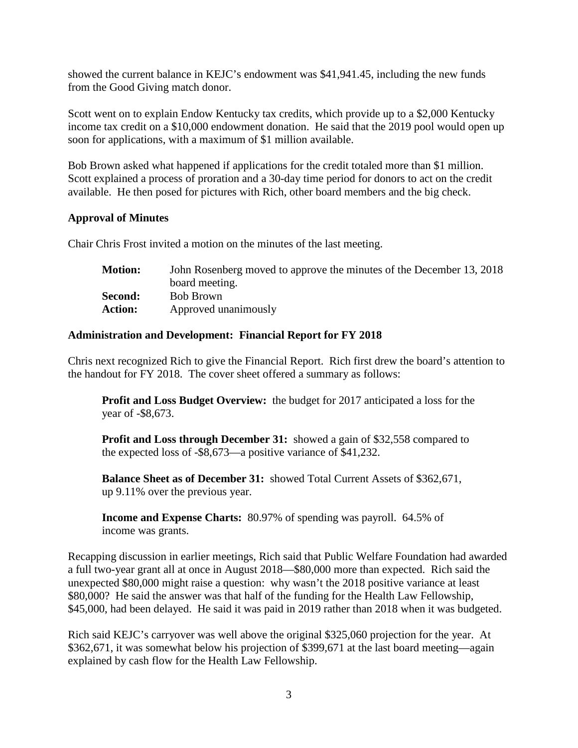showed the current balance in KEJC's endowment was \$41,941.45, including the new funds from the Good Giving match donor.

Scott went on to explain Endow Kentucky tax credits, which provide up to a \$2,000 Kentucky income tax credit on a \$10,000 endowment donation. He said that the 2019 pool would open up soon for applications, with a maximum of \$1 million available.

Bob Brown asked what happened if applications for the credit totaled more than \$1 million. Scott explained a process of proration and a 30-day time period for donors to act on the credit available. He then posed for pictures with Rich, other board members and the big check.

### **Approval of Minutes**

Chair Chris Frost invited a motion on the minutes of the last meeting.

| <b>Motion:</b> | John Rosenberg moved to approve the minutes of the December 13, 2018 |
|----------------|----------------------------------------------------------------------|
|                | board meeting.                                                       |
| Second:        | Bob Brown                                                            |
| <b>Action:</b> | Approved unanimously                                                 |

### **Administration and Development: Financial Report for FY 2018**

Chris next recognized Rich to give the Financial Report. Rich first drew the board's attention to the handout for FY 2018. The cover sheet offered a summary as follows:

**Profit and Loss Budget Overview:** the budget for 2017 anticipated a loss for the year of -\$8,673.

**Profit and Loss through December 31:** showed a gain of \$32,558 compared to the expected loss of -\$8,673—a positive variance of \$41,232.

**Balance Sheet as of December 31:** showed Total Current Assets of \$362,671, up 9.11% over the previous year.

**Income and Expense Charts:** 80.97% of spending was payroll. 64.5% of income was grants.

Recapping discussion in earlier meetings, Rich said that Public Welfare Foundation had awarded a full two-year grant all at once in August 2018—\$80,000 more than expected. Rich said the unexpected \$80,000 might raise a question: why wasn't the 2018 positive variance at least \$80,000? He said the answer was that half of the funding for the Health Law Fellowship, \$45,000, had been delayed. He said it was paid in 2019 rather than 2018 when it was budgeted.

Rich said KEJC's carryover was well above the original \$325,060 projection for the year. At \$362,671, it was somewhat below his projection of \$399,671 at the last board meeting—again explained by cash flow for the Health Law Fellowship.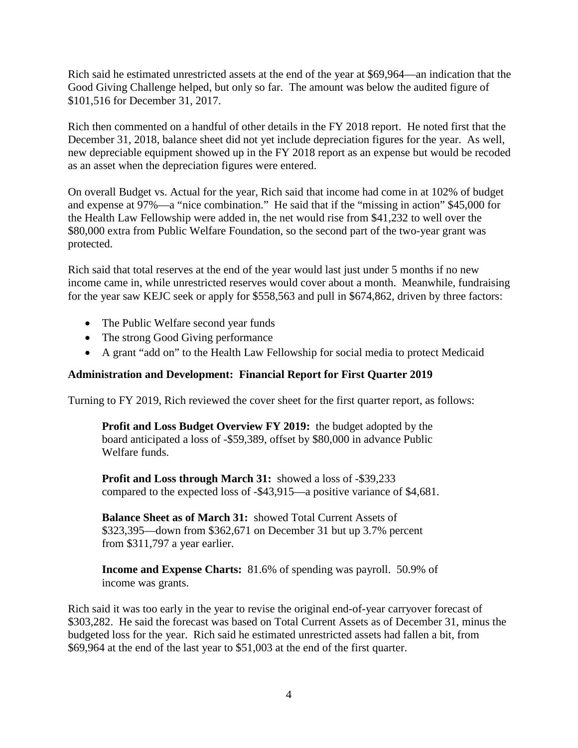Rich said he estimated unrestricted assets at the end of the year at \$69,964—an indication that the Good Giving Challenge helped, but only so far. The amount was below the audited figure of \$101,516 for December 31, 2017.

Rich then commented on a handful of other details in the FY 2018 report. He noted first that the December 31, 2018, balance sheet did not yet include depreciation figures for the year. As well, new depreciable equipment showed up in the FY 2018 report as an expense but would be recoded as an asset when the depreciation figures were entered.

On overall Budget vs. Actual for the year, Rich said that income had come in at 102% of budget and expense at 97%—a "nice combination." He said that if the "missing in action" \$45,000 for the Health Law Fellowship were added in, the net would rise from \$41,232 to well over the \$80,000 extra from Public Welfare Foundation, so the second part of the two-year grant was protected.

Rich said that total reserves at the end of the year would last just under 5 months if no new income came in, while unrestricted reserves would cover about a month. Meanwhile, fundraising for the year saw KEJC seek or apply for \$558,563 and pull in \$674,862, driven by three factors:

- The Public Welfare second year funds
- The strong Good Giving performance
- A grant "add on" to the Health Law Fellowship for social media to protect Medicaid

## **Administration and Development: Financial Report for First Quarter 2019**

Turning to FY 2019, Rich reviewed the cover sheet for the first quarter report, as follows:

**Profit and Loss Budget Overview FY 2019:** the budget adopted by the board anticipated a loss of -\$59,389, offset by \$80,000 in advance Public Welfare funds.

**Profit and Loss through March 31:** showed a loss of -\$39,233 compared to the expected loss of -\$43,915—a positive variance of \$4,681.

**Balance Sheet as of March 31:** showed Total Current Assets of \$323,395—down from \$362,671 on December 31 but up 3.7% percent from \$311,797 a year earlier.

**Income and Expense Charts:** 81.6% of spending was payroll. 50.9% of income was grants.

Rich said it was too early in the year to revise the original end-of-year carryover forecast of \$303,282. He said the forecast was based on Total Current Assets as of December 31, minus the budgeted loss for the year. Rich said he estimated unrestricted assets had fallen a bit, from \$69,964 at the end of the last year to \$51,003 at the end of the first quarter.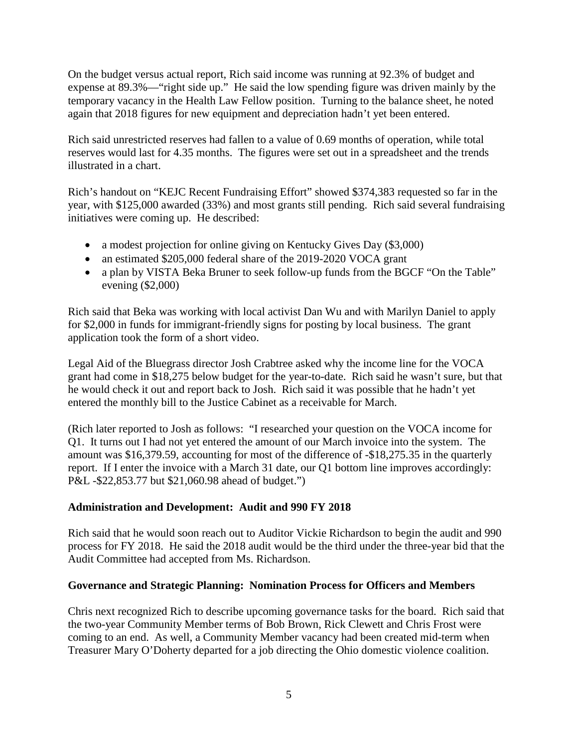On the budget versus actual report, Rich said income was running at 92.3% of budget and expense at 89.3%—"right side up." He said the low spending figure was driven mainly by the temporary vacancy in the Health Law Fellow position. Turning to the balance sheet, he noted again that 2018 figures for new equipment and depreciation hadn't yet been entered.

Rich said unrestricted reserves had fallen to a value of 0.69 months of operation, while total reserves would last for 4.35 months. The figures were set out in a spreadsheet and the trends illustrated in a chart.

Rich's handout on "KEJC Recent Fundraising Effort" showed \$374,383 requested so far in the year, with \$125,000 awarded (33%) and most grants still pending. Rich said several fundraising initiatives were coming up. He described:

- a modest projection for online giving on Kentucky Gives Day (\$3,000)
- an estimated \$205,000 federal share of the 2019-2020 VOCA grant
- a plan by VISTA Beka Bruner to seek follow-up funds from the BGCF "On the Table" evening (\$2,000)

Rich said that Beka was working with local activist Dan Wu and with Marilyn Daniel to apply for \$2,000 in funds for immigrant-friendly signs for posting by local business. The grant application took the form of a short video.

Legal Aid of the Bluegrass director Josh Crabtree asked why the income line for the VOCA grant had come in \$18,275 below budget for the year-to-date. Rich said he wasn't sure, but that he would check it out and report back to Josh. Rich said it was possible that he hadn't yet entered the monthly bill to the Justice Cabinet as a receivable for March.

(Rich later reported to Josh as follows: "I researched your question on the VOCA income for Q1. It turns out I had not yet entered the amount of our March invoice into the system. The amount was \$16,379.59, accounting for most of the difference of -\$18,275.35 in the quarterly report. If I enter the invoice with a March 31 date, our Q1 bottom line improves accordingly: P&L -\$22,853.77 but \$21,060.98 ahead of budget.")

## **Administration and Development: Audit and 990 FY 2018**

Rich said that he would soon reach out to Auditor Vickie Richardson to begin the audit and 990 process for FY 2018. He said the 2018 audit would be the third under the three-year bid that the Audit Committee had accepted from Ms. Richardson.

## **Governance and Strategic Planning: Nomination Process for Officers and Members**

Chris next recognized Rich to describe upcoming governance tasks for the board. Rich said that the two-year Community Member terms of Bob Brown, Rick Clewett and Chris Frost were coming to an end. As well, a Community Member vacancy had been created mid-term when Treasurer Mary O'Doherty departed for a job directing the Ohio domestic violence coalition.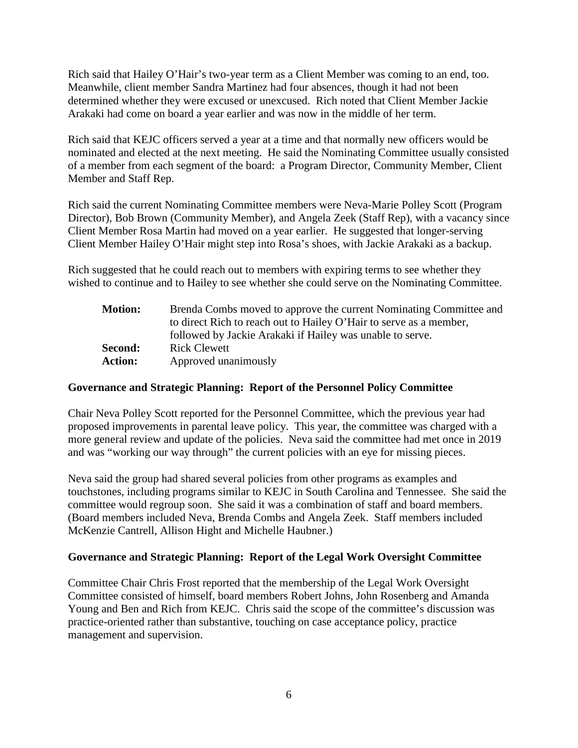Rich said that Hailey O'Hair's two-year term as a Client Member was coming to an end, too. Meanwhile, client member Sandra Martinez had four absences, though it had not been determined whether they were excused or unexcused. Rich noted that Client Member Jackie Arakaki had come on board a year earlier and was now in the middle of her term.

Rich said that KEJC officers served a year at a time and that normally new officers would be nominated and elected at the next meeting. He said the Nominating Committee usually consisted of a member from each segment of the board: a Program Director, Community Member, Client Member and Staff Rep.

Rich said the current Nominating Committee members were Neva-Marie Polley Scott (Program Director), Bob Brown (Community Member), and Angela Zeek (Staff Rep), with a vacancy since Client Member Rosa Martin had moved on a year earlier. He suggested that longer-serving Client Member Hailey O'Hair might step into Rosa's shoes, with Jackie Arakaki as a backup.

Rich suggested that he could reach out to members with expiring terms to see whether they wished to continue and to Hailey to see whether she could serve on the Nominating Committee.

| <b>Motion:</b> | Brenda Combs moved to approve the current Nominating Committee and |
|----------------|--------------------------------------------------------------------|
|                | to direct Rich to reach out to Hailey O'Hair to serve as a member, |
|                | followed by Jackie Arakaki if Hailey was unable to serve.          |
| Second:        | <b>Rick Clewett</b>                                                |
| <b>Action:</b> | Approved unanimously                                               |

## **Governance and Strategic Planning: Report of the Personnel Policy Committee**

Chair Neva Polley Scott reported for the Personnel Committee, which the previous year had proposed improvements in parental leave policy. This year, the committee was charged with a more general review and update of the policies. Neva said the committee had met once in 2019 and was "working our way through" the current policies with an eye for missing pieces.

Neva said the group had shared several policies from other programs as examples and touchstones, including programs similar to KEJC in South Carolina and Tennessee. She said the committee would regroup soon. She said it was a combination of staff and board members. (Board members included Neva, Brenda Combs and Angela Zeek. Staff members included McKenzie Cantrell, Allison Hight and Michelle Haubner.)

## **Governance and Strategic Planning: Report of the Legal Work Oversight Committee**

Committee Chair Chris Frost reported that the membership of the Legal Work Oversight Committee consisted of himself, board members Robert Johns, John Rosenberg and Amanda Young and Ben and Rich from KEJC. Chris said the scope of the committee's discussion was practice-oriented rather than substantive, touching on case acceptance policy, practice management and supervision.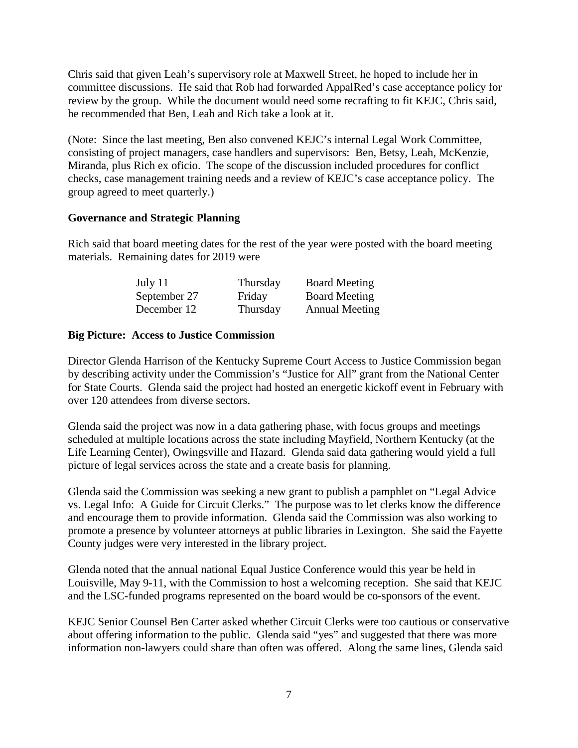Chris said that given Leah's supervisory role at Maxwell Street, he hoped to include her in committee discussions. He said that Rob had forwarded AppalRed's case acceptance policy for review by the group. While the document would need some recrafting to fit KEJC, Chris said, he recommended that Ben, Leah and Rich take a look at it.

(Note: Since the last meeting, Ben also convened KEJC's internal Legal Work Committee, consisting of project managers, case handlers and supervisors: Ben, Betsy, Leah, McKenzie, Miranda, plus Rich ex oficio. The scope of the discussion included procedures for conflict checks, case management training needs and a review of KEJC's case acceptance policy. The group agreed to meet quarterly.)

### **Governance and Strategic Planning**

Rich said that board meeting dates for the rest of the year were posted with the board meeting materials. Remaining dates for 2019 were

| July 11      | Thursday | <b>Board Meeting</b>  |
|--------------|----------|-----------------------|
| September 27 | Friday   | <b>Board Meeting</b>  |
| December 12  | Thursday | <b>Annual Meeting</b> |

### **Big Picture: Access to Justice Commission**

Director Glenda Harrison of the Kentucky Supreme Court Access to Justice Commission began by describing activity under the Commission's "Justice for All" grant from the National Center for State Courts. Glenda said the project had hosted an energetic kickoff event in February with over 120 attendees from diverse sectors.

Glenda said the project was now in a data gathering phase, with focus groups and meetings scheduled at multiple locations across the state including Mayfield, Northern Kentucky (at the Life Learning Center), Owingsville and Hazard. Glenda said data gathering would yield a full picture of legal services across the state and a create basis for planning.

Glenda said the Commission was seeking a new grant to publish a pamphlet on "Legal Advice vs. Legal Info: A Guide for Circuit Clerks." The purpose was to let clerks know the difference and encourage them to provide information. Glenda said the Commission was also working to promote a presence by volunteer attorneys at public libraries in Lexington. She said the Fayette County judges were very interested in the library project.

Glenda noted that the annual national Equal Justice Conference would this year be held in Louisville, May 9-11, with the Commission to host a welcoming reception. She said that KEJC and the LSC-funded programs represented on the board would be co-sponsors of the event.

KEJC Senior Counsel Ben Carter asked whether Circuit Clerks were too cautious or conservative about offering information to the public. Glenda said "yes" and suggested that there was more information non-lawyers could share than often was offered. Along the same lines, Glenda said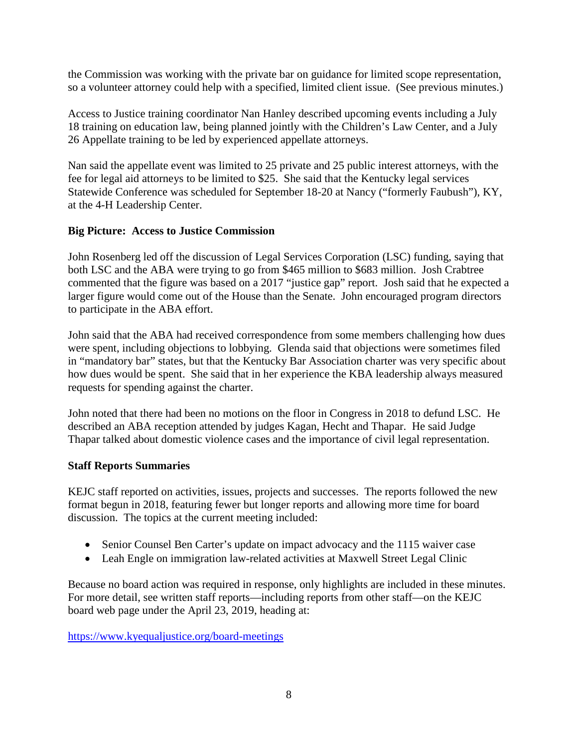the Commission was working with the private bar on guidance for limited scope representation, so a volunteer attorney could help with a specified, limited client issue. (See previous minutes.)

Access to Justice training coordinator Nan Hanley described upcoming events including a July 18 training on education law, being planned jointly with the Children's Law Center, and a July 26 Appellate training to be led by experienced appellate attorneys.

Nan said the appellate event was limited to 25 private and 25 public interest attorneys, with the fee for legal aid attorneys to be limited to \$25. She said that the Kentucky legal services Statewide Conference was scheduled for September 18-20 at Nancy ("formerly Faubush"), KY, at the 4-H Leadership Center.

# **Big Picture: Access to Justice Commission**

John Rosenberg led off the discussion of Legal Services Corporation (LSC) funding, saying that both LSC and the ABA were trying to go from \$465 million to \$683 million. Josh Crabtree commented that the figure was based on a 2017 "justice gap" report. Josh said that he expected a larger figure would come out of the House than the Senate. John encouraged program directors to participate in the ABA effort.

John said that the ABA had received correspondence from some members challenging how dues were spent, including objections to lobbying. Glenda said that objections were sometimes filed in "mandatory bar" states, but that the Kentucky Bar Association charter was very specific about how dues would be spent. She said that in her experience the KBA leadership always measured requests for spending against the charter.

John noted that there had been no motions on the floor in Congress in 2018 to defund LSC. He described an ABA reception attended by judges Kagan, Hecht and Thapar. He said Judge Thapar talked about domestic violence cases and the importance of civil legal representation.

## **Staff Reports Summaries**

KEJC staff reported on activities, issues, projects and successes. The reports followed the new format begun in 2018, featuring fewer but longer reports and allowing more time for board discussion. The topics at the current meeting included:

- Senior Counsel Ben Carter's update on impact advocacy and the 1115 waiver case
- Leah Engle on immigration law-related activities at Maxwell Street Legal Clinic

Because no board action was required in response, only highlights are included in these minutes. For more detail, see written staff reports—including reports from other staff—on the KEJC board web page under the April 23, 2019, heading at:

<https://www.kyequaljustice.org/board-meetings>